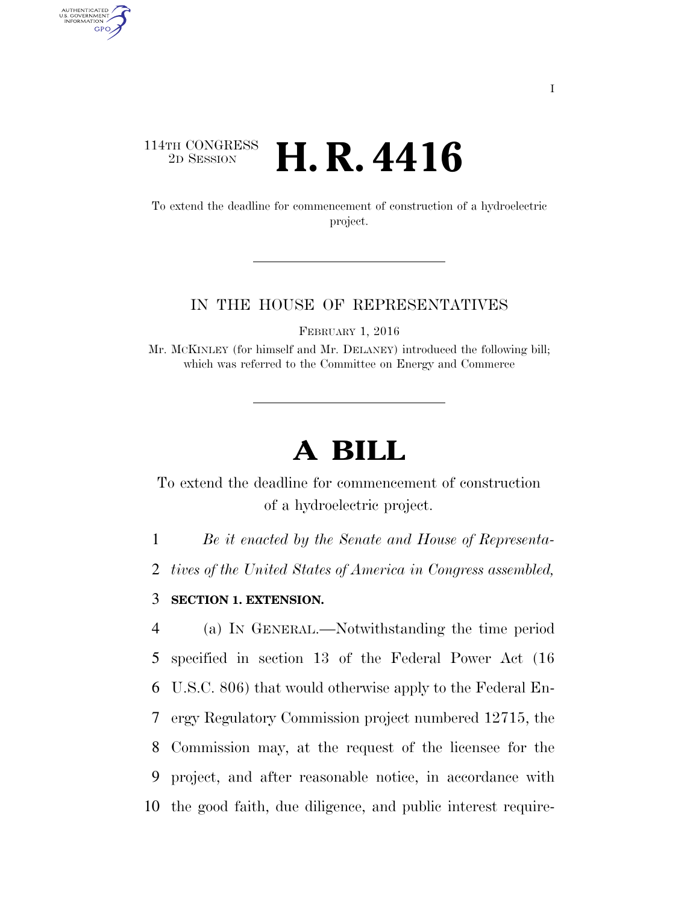## 114TH CONGRESS<br>2D SESSION 2D SESSION **H. R. 4416**

AUTHENTICATED U.S. GOVERNMENT GPO

> To extend the deadline for commencement of construction of a hydroelectric project.

## IN THE HOUSE OF REPRESENTATIVES

FEBRUARY 1, 2016

Mr. MCKINLEY (for himself and Mr. DELANEY) introduced the following bill; which was referred to the Committee on Energy and Commerce

## **A BILL**

To extend the deadline for commencement of construction of a hydroelectric project.

1 *Be it enacted by the Senate and House of Representa-*

2 *tives of the United States of America in Congress assembled,* 

3 **SECTION 1. EXTENSION.** 

 (a) IN GENERAL.—Notwithstanding the time period specified in section 13 of the Federal Power Act (16 U.S.C. 806) that would otherwise apply to the Federal En- ergy Regulatory Commission project numbered 12715, the Commission may, at the request of the licensee for the project, and after reasonable notice, in accordance with the good faith, due diligence, and public interest require-